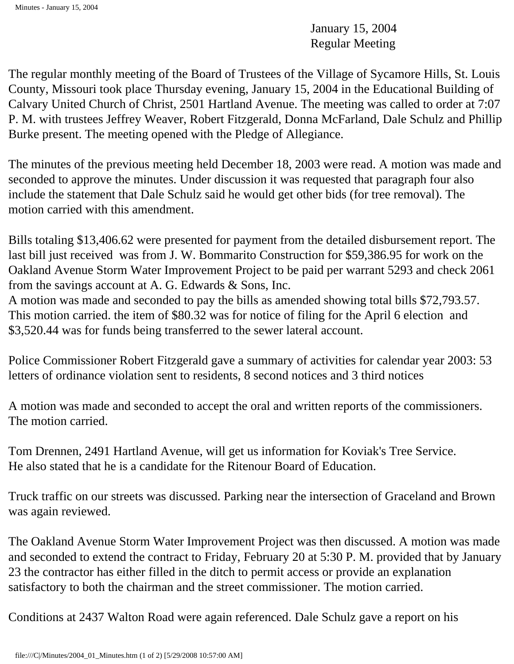January 15, 2004 Regular Meeting

The regular monthly meeting of the Board of Trustees of the Village of Sycamore Hills, St. Louis County, Missouri took place Thursday evening, January 15, 2004 in the Educational Building of Calvary United Church of Christ, 2501 Hartland Avenue. The meeting was called to order at 7:07 P. M. with trustees Jeffrey Weaver, Robert Fitzgerald, Donna McFarland, Dale Schulz and Phillip Burke present. The meeting opened with the Pledge of Allegiance.

The minutes of the previous meeting held December 18, 2003 were read. A motion was made and seconded to approve the minutes. Under discussion it was requested that paragraph four also include the statement that Dale Schulz said he would get other bids (for tree removal). The motion carried with this amendment.

Bills totaling \$13,406.62 were presented for payment from the detailed disbursement report. The last bill just received was from J. W. Bommarito Construction for \$59,386.95 for work on the Oakland Avenue Storm Water Improvement Project to be paid per warrant 5293 and check 2061 from the savings account at A. G. Edwards & Sons, Inc.

A motion was made and seconded to pay the bills as amended showing total bills \$72,793.57. This motion carried. the item of \$80.32 was for notice of filing for the April 6 election and \$3,520.44 was for funds being transferred to the sewer lateral account.

Police Commissioner Robert Fitzgerald gave a summary of activities for calendar year 2003: 53 letters of ordinance violation sent to residents, 8 second notices and 3 third notices

A motion was made and seconded to accept the oral and written reports of the commissioners. The motion carried.

Tom Drennen, 2491 Hartland Avenue, will get us information for Koviak's Tree Service. He also stated that he is a candidate for the Ritenour Board of Education.

Truck traffic on our streets was discussed. Parking near the intersection of Graceland and Brown was again reviewed.

The Oakland Avenue Storm Water Improvement Project was then discussed. A motion was made and seconded to extend the contract to Friday, February 20 at 5:30 P. M. provided that by January 23 the contractor has either filled in the ditch to permit access or provide an explanation satisfactory to both the chairman and the street commissioner. The motion carried.

Conditions at 2437 Walton Road were again referenced. Dale Schulz gave a report on his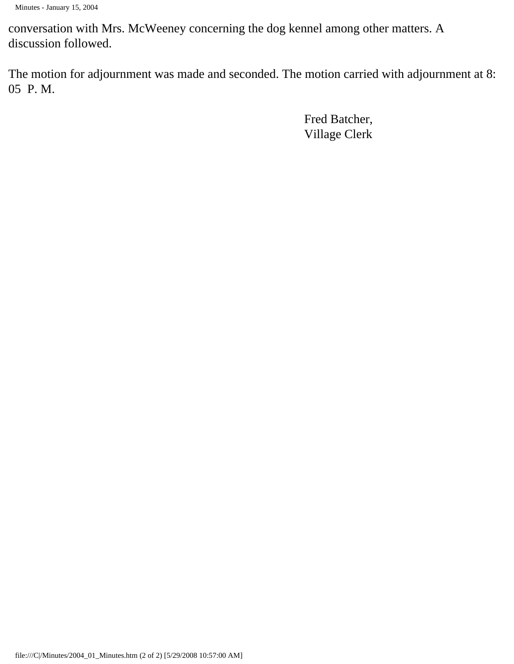conversation with Mrs. McWeeney concerning the dog kennel among other matters. A discussion followed.

The motion for adjournment was made and seconded. The motion carried with adjournment at 8: 05 P. M.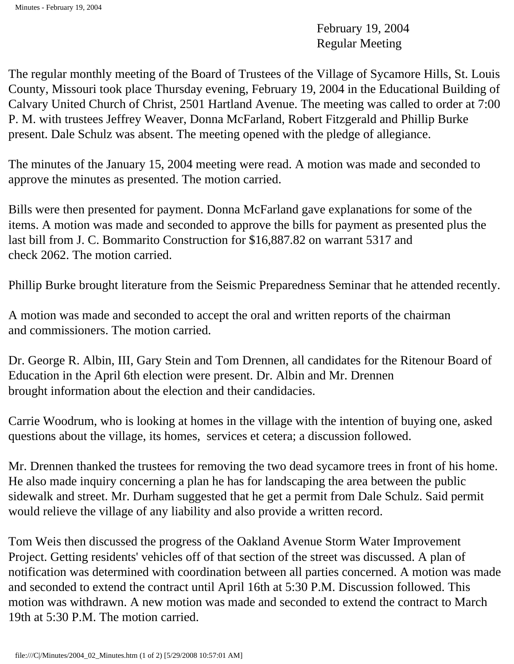February 19, 2004 Regular Meeting

The regular monthly meeting of the Board of Trustees of the Village of Sycamore Hills, St. Louis County, Missouri took place Thursday evening, February 19, 2004 in the Educational Building of Calvary United Church of Christ, 2501 Hartland Avenue. The meeting was called to order at 7:00 P. M. with trustees Jeffrey Weaver, Donna McFarland, Robert Fitzgerald and Phillip Burke present. Dale Schulz was absent. The meeting opened with the pledge of allegiance.

The minutes of the January 15, 2004 meeting were read. A motion was made and seconded to approve the minutes as presented. The motion carried.

Bills were then presented for payment. Donna McFarland gave explanations for some of the items. A motion was made and seconded to approve the bills for payment as presented plus the last bill from J. C. Bommarito Construction for \$16,887.82 on warrant 5317 and check 2062. The motion carried.

Phillip Burke brought literature from the Seismic Preparedness Seminar that he attended recently.

A motion was made and seconded to accept the oral and written reports of the chairman and commissioners. The motion carried.

Dr. George R. Albin, III, Gary Stein and Tom Drennen, all candidates for the Ritenour Board of Education in the April 6th election were present. Dr. Albin and Mr. Drennen brought information about the election and their candidacies.

Carrie Woodrum, who is looking at homes in the village with the intention of buying one, asked questions about the village, its homes, services et cetera; a discussion followed.

Mr. Drennen thanked the trustees for removing the two dead sycamore trees in front of his home. He also made inquiry concerning a plan he has for landscaping the area between the public sidewalk and street. Mr. Durham suggested that he get a permit from Dale Schulz. Said permit would relieve the village of any liability and also provide a written record.

Tom Weis then discussed the progress of the Oakland Avenue Storm Water Improvement Project. Getting residents' vehicles off of that section of the street was discussed. A plan of notification was determined with coordination between all parties concerned. A motion was made and seconded to extend the contract until April 16th at 5:30 P.M. Discussion followed. This motion was withdrawn. A new motion was made and seconded to extend the contract to March 19th at 5:30 P.M. The motion carried.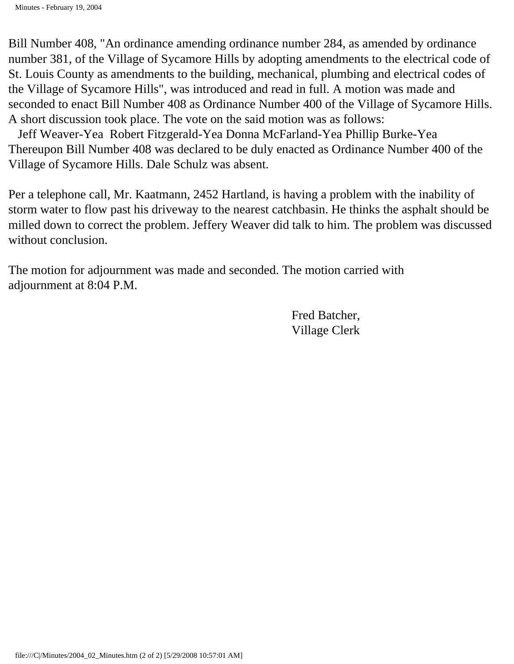Bill Number 408, "An ordinance amending ordinance number 284, as amended by ordinance number 381, of the Village of Sycamore Hills by adopting amendments to the electrical code of St. Louis County as amendments to the building, mechanical, plumbing and electrical codes of the Village of Sycamore Hills", was introduced and read in full. A motion was made and seconded to enact Bill Number 408 as Ordinance Number 400 of the Village of Sycamore Hills. A short discussion took place. The vote on the said motion was as follows:

 Jeff Weaver-Yea Robert Fitzgerald-Yea Donna McFarland-Yea Phillip Burke-Yea Thereupon Bill Number 408 was declared to be duly enacted as Ordinance Number 400 of the Village of Sycamore Hills. Dale Schulz was absent.

Per a telephone call, Mr. Kaatmann, 2452 Hartland, is having a problem with the inability of storm water to flow past his driveway to the nearest catchbasin. He thinks the asphalt should be milled down to correct the problem. Jeffery Weaver did talk to him. The problem was discussed without conclusion.

The motion for adjournment was made and seconded. The motion carried with adjournment at 8:04 P.M.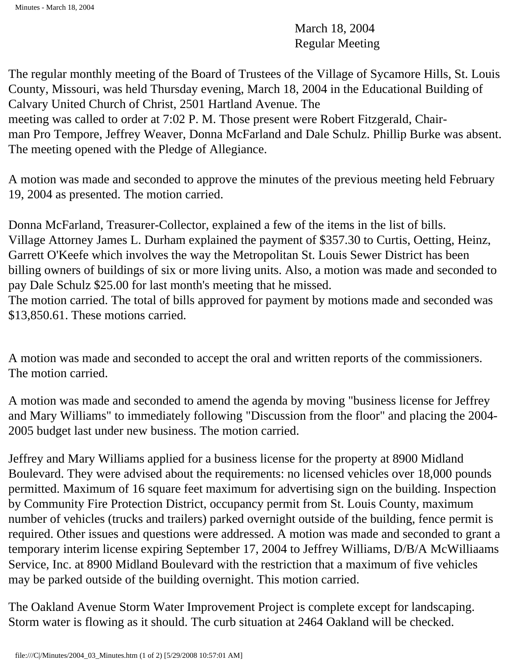March 18, 2004 Regular Meeting

The regular monthly meeting of the Board of Trustees of the Village of Sycamore Hills, St. Louis County, Missouri, was held Thursday evening, March 18, 2004 in the Educational Building of Calvary United Church of Christ, 2501 Hartland Avenue. The meeting was called to order at 7:02 P. M. Those present were Robert Fitzgerald, Chairman Pro Tempore, Jeffrey Weaver, Donna McFarland and Dale Schulz. Phillip Burke was absent. The meeting opened with the Pledge of Allegiance.

A motion was made and seconded to approve the minutes of the previous meeting held February 19, 2004 as presented. The motion carried.

Donna McFarland, Treasurer-Collector, explained a few of the items in the list of bills. Village Attorney James L. Durham explained the payment of \$357.30 to Curtis, Oetting, Heinz, Garrett O'Keefe which involves the way the Metropolitan St. Louis Sewer District has been billing owners of buildings of six or more living units. Also, a motion was made and seconded to pay Dale Schulz \$25.00 for last month's meeting that he missed.

The motion carried. The total of bills approved for payment by motions made and seconded was \$13,850.61. These motions carried.

A motion was made and seconded to accept the oral and written reports of the commissioners. The motion carried.

A motion was made and seconded to amend the agenda by moving "business license for Jeffrey and Mary Williams" to immediately following "Discussion from the floor" and placing the 2004- 2005 budget last under new business. The motion carried.

Jeffrey and Mary Williams applied for a business license for the property at 8900 Midland Boulevard. They were advised about the requirements: no licensed vehicles over 18,000 pounds permitted. Maximum of 16 square feet maximum for advertising sign on the building. Inspection by Community Fire Protection District, occupancy permit from St. Louis County, maximum number of vehicles (trucks and trailers) parked overnight outside of the building, fence permit is required. Other issues and questions were addressed. A motion was made and seconded to grant a temporary interim license expiring September 17, 2004 to Jeffrey Williams, D/B/A McWilliaams Service, Inc. at 8900 Midland Boulevard with the restriction that a maximum of five vehicles may be parked outside of the building overnight. This motion carried.

The Oakland Avenue Storm Water Improvement Project is complete except for landscaping. Storm water is flowing as it should. The curb situation at 2464 Oakland will be checked.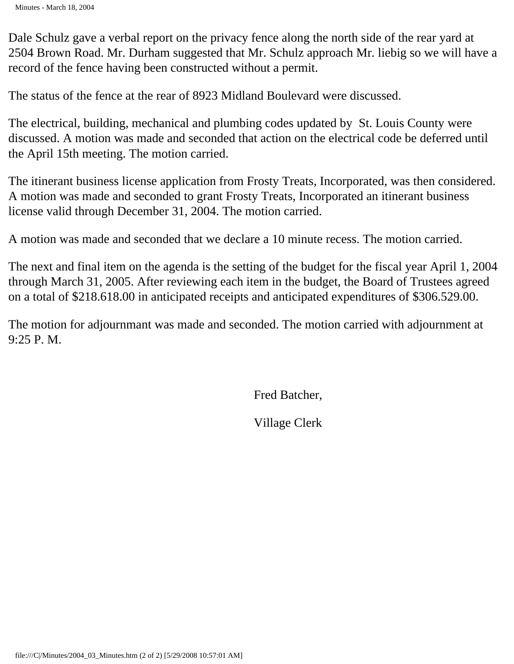Minutes - March 18, 2004

Dale Schulz gave a verbal report on the privacy fence along the north side of the rear yard at 2504 Brown Road. Mr. Durham suggested that Mr. Schulz approach Mr. liebig so we will have a record of the fence having been constructed without a permit.

The status of the fence at the rear of 8923 Midland Boulevard were discussed.

The electrical, building, mechanical and plumbing codes updated by St. Louis County were discussed. A motion was made and seconded that action on the electrical code be deferred until the April 15th meeting. The motion carried.

The itinerant business license application from Frosty Treats, Incorporated, was then considered. A motion was made and seconded to grant Frosty Treats, Incorporated an itinerant business license valid through December 31, 2004. The motion carried.

A motion was made and seconded that we declare a 10 minute recess. The motion carried.

The next and final item on the agenda is the setting of the budget for the fiscal year April 1, 2004 through March 31, 2005. After reviewing each item in the budget, the Board of Trustees agreed on a total of \$218.618.00 in anticipated receipts and anticipated expenditures of \$306.529.00.

The motion for adjournmant was made and seconded. The motion carried with adjournment at 9:25 P. M.

Fred Batcher,

Village Clerk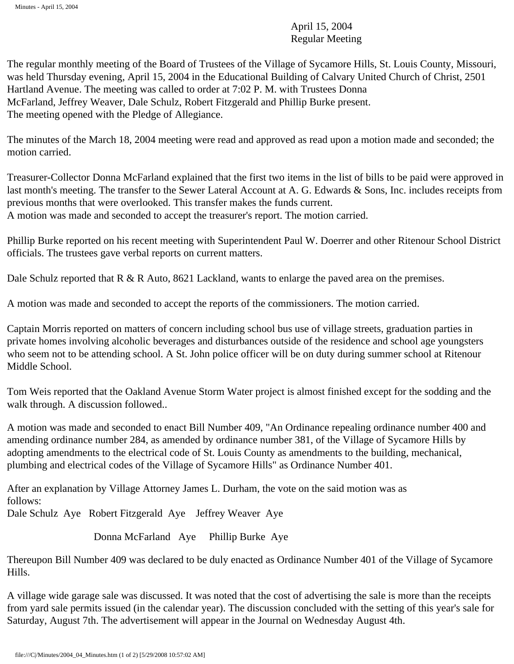April 15, 2004 Regular Meeting

The regular monthly meeting of the Board of Trustees of the Village of Sycamore Hills, St. Louis County, Missouri, was held Thursday evening, April 15, 2004 in the Educational Building of Calvary United Church of Christ, 2501 Hartland Avenue. The meeting was called to order at 7:02 P. M. with Trustees Donna McFarland, Jeffrey Weaver, Dale Schulz, Robert Fitzgerald and Phillip Burke present. The meeting opened with the Pledge of Allegiance.

The minutes of the March 18, 2004 meeting were read and approved as read upon a motion made and seconded; the motion carried.

Treasurer-Collector Donna McFarland explained that the first two items in the list of bills to be paid were approved in last month's meeting. The transfer to the Sewer Lateral Account at A. G. Edwards & Sons, Inc. includes receipts from previous months that were overlooked. This transfer makes the funds current. A motion was made and seconded to accept the treasurer's report. The motion carried.

Phillip Burke reported on his recent meeting with Superintendent Paul W. Doerrer and other Ritenour School District officials. The trustees gave verbal reports on current matters.

Dale Schulz reported that  $R \& R$  Auto, 8621 Lackland, wants to enlarge the paved area on the premises.

A motion was made and seconded to accept the reports of the commissioners. The motion carried.

Captain Morris reported on matters of concern including school bus use of village streets, graduation parties in private homes involving alcoholic beverages and disturbances outside of the residence and school age youngsters who seem not to be attending school. A St. John police officer will be on duty during summer school at Ritenour Middle School.

Tom Weis reported that the Oakland Avenue Storm Water project is almost finished except for the sodding and the walk through. A discussion followed..

A motion was made and seconded to enact Bill Number 409, "An Ordinance repealing ordinance number 400 and amending ordinance number 284, as amended by ordinance number 381, of the Village of Sycamore Hills by adopting amendments to the electrical code of St. Louis County as amendments to the building, mechanical, plumbing and electrical codes of the Village of Sycamore Hills" as Ordinance Number 401.

After an explanation by Village Attorney James L. Durham, the vote on the said motion was as follows:

Dale Schulz Aye Robert Fitzgerald Aye Jeffrey Weaver Aye

Donna McFarland Aye Phillip Burke Aye

Thereupon Bill Number 409 was declared to be duly enacted as Ordinance Number 401 of the Village of Sycamore Hills.

A village wide garage sale was discussed. It was noted that the cost of advertising the sale is more than the receipts from yard sale permits issued (in the calendar year). The discussion concluded with the setting of this year's sale for Saturday, August 7th. The advertisement will appear in the Journal on Wednesday August 4th.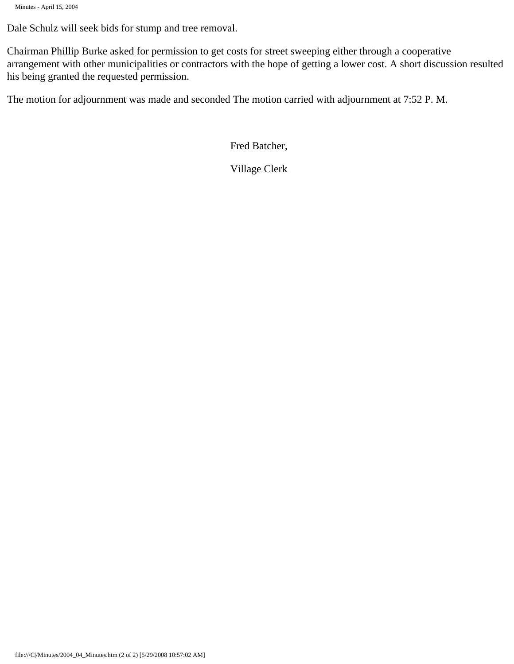```
Minutes - April 15, 2004
```
Dale Schulz will seek bids for stump and tree removal.

Chairman Phillip Burke asked for permission to get costs for street sweeping either through a cooperative arrangement with other municipalities or contractors with the hope of getting a lower cost. A short discussion resulted his being granted the requested permission.

The motion for adjournment was made and seconded The motion carried with adjournment at 7:52 P. M.

Fred Batcher,

Village Clerk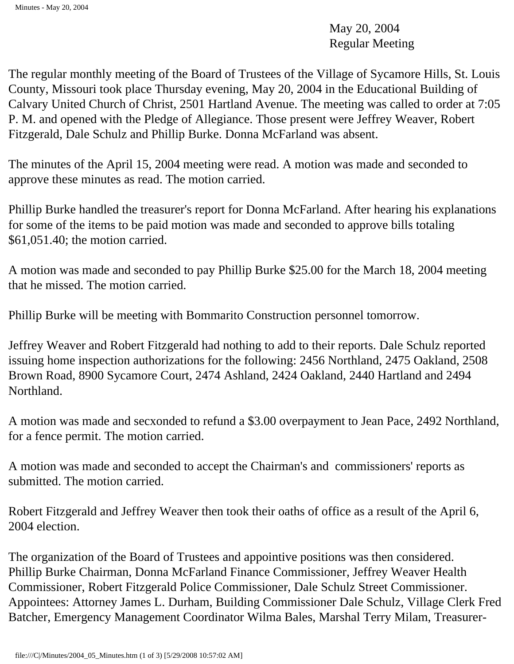May 20, 2004 Regular Meeting

The regular monthly meeting of the Board of Trustees of the Village of Sycamore Hills, St. Louis County, Missouri took place Thursday evening, May 20, 2004 in the Educational Building of Calvary United Church of Christ, 2501 Hartland Avenue. The meeting was called to order at 7:05 P. M. and opened with the Pledge of Allegiance. Those present were Jeffrey Weaver, Robert Fitzgerald, Dale Schulz and Phillip Burke. Donna McFarland was absent.

The minutes of the April 15, 2004 meeting were read. A motion was made and seconded to approve these minutes as read. The motion carried.

Phillip Burke handled the treasurer's report for Donna McFarland. After hearing his explanations for some of the items to be paid motion was made and seconded to approve bills totaling \$61,051.40; the motion carried.

A motion was made and seconded to pay Phillip Burke \$25.00 for the March 18, 2004 meeting that he missed. The motion carried.

Phillip Burke will be meeting with Bommarito Construction personnel tomorrow.

Jeffrey Weaver and Robert Fitzgerald had nothing to add to their reports. Dale Schulz reported issuing home inspection authorizations for the following: 2456 Northland, 2475 Oakland, 2508 Brown Road, 8900 Sycamore Court, 2474 Ashland, 2424 Oakland, 2440 Hartland and 2494 Northland.

A motion was made and secxonded to refund a \$3.00 overpayment to Jean Pace, 2492 Northland, for a fence permit. The motion carried.

A motion was made and seconded to accept the Chairman's and commissioners' reports as submitted. The motion carried.

Robert Fitzgerald and Jeffrey Weaver then took their oaths of office as a result of the April 6, 2004 election.

The organization of the Board of Trustees and appointive positions was then considered. Phillip Burke Chairman, Donna McFarland Finance Commissioner, Jeffrey Weaver Health Commissioner, Robert Fitzgerald Police Commissioner, Dale Schulz Street Commissioner. Appointees: Attorney James L. Durham, Building Commissioner Dale Schulz, Village Clerk Fred Batcher, Emergency Management Coordinator Wilma Bales, Marshal Terry Milam, Treasurer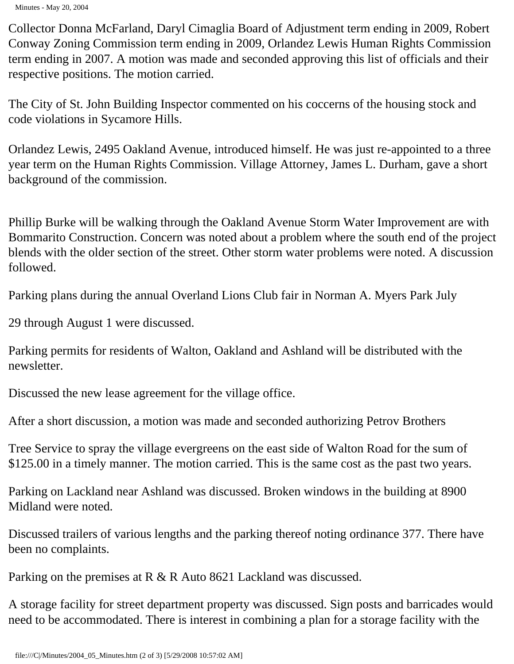Minutes - May 20, 2004

Collector Donna McFarland, Daryl Cimaglia Board of Adjustment term ending in 2009, Robert Conway Zoning Commission term ending in 2009, Orlandez Lewis Human Rights Commission term ending in 2007. A motion was made and seconded approving this list of officials and their respective positions. The motion carried.

The City of St. John Building Inspector commented on his coccerns of the housing stock and code violations in Sycamore Hills.

Orlandez Lewis, 2495 Oakland Avenue, introduced himself. He was just re-appointed to a three year term on the Human Rights Commission. Village Attorney, James L. Durham, gave a short background of the commission.

Phillip Burke will be walking through the Oakland Avenue Storm Water Improvement are with Bommarito Construction. Concern was noted about a problem where the south end of the project blends with the older section of the street. Other storm water problems were noted. A discussion followed.

Parking plans during the annual Overland Lions Club fair in Norman A. Myers Park July

29 through August 1 were discussed.

Parking permits for residents of Walton, Oakland and Ashland will be distributed with the newsletter.

Discussed the new lease agreement for the village office.

After a short discussion, a motion was made and seconded authorizing Petrov Brothers

Tree Service to spray the village evergreens on the east side of Walton Road for the sum of \$125.00 in a timely manner. The motion carried. This is the same cost as the past two years.

Parking on Lackland near Ashland was discussed. Broken windows in the building at 8900 Midland were noted.

Discussed trailers of various lengths and the parking thereof noting ordinance 377. There have been no complaints.

Parking on the premises at R & R Auto 8621 Lackland was discussed.

A storage facility for street department property was discussed. Sign posts and barricades would need to be accommodated. There is interest in combining a plan for a storage facility with the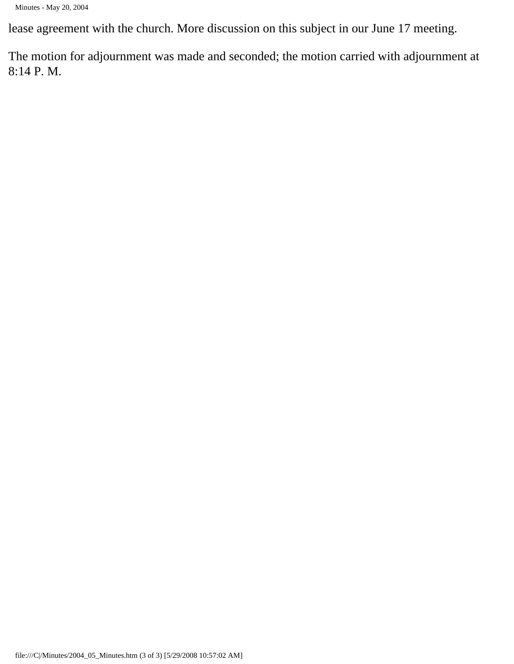lease agreement with the church. More discussion on this subject in our June 17 meeting.

The motion for adjournment was made and seconded; the motion carried with adjournment at 8:14 P. M.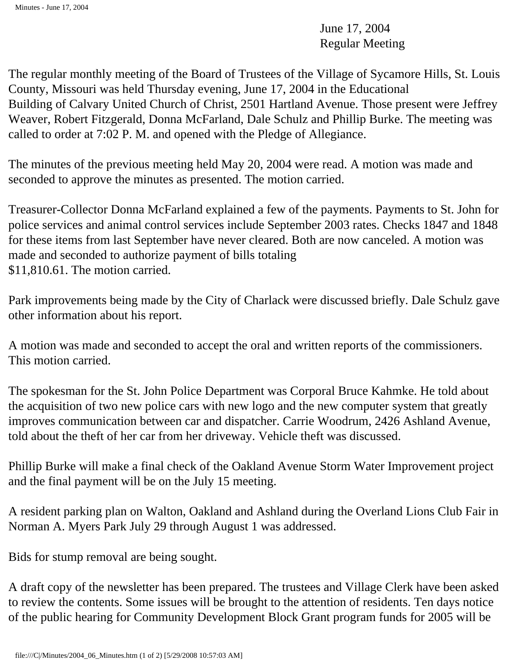June 17, 2004 Regular Meeting

The regular monthly meeting of the Board of Trustees of the Village of Sycamore Hills, St. Louis County, Missouri was held Thursday evening, June 17, 2004 in the Educational Building of Calvary United Church of Christ, 2501 Hartland Avenue. Those present were Jeffrey Weaver, Robert Fitzgerald, Donna McFarland, Dale Schulz and Phillip Burke. The meeting was called to order at 7:02 P. M. and opened with the Pledge of Allegiance.

The minutes of the previous meeting held May 20, 2004 were read. A motion was made and seconded to approve the minutes as presented. The motion carried.

Treasurer-Collector Donna McFarland explained a few of the payments. Payments to St. John for police services and animal control services include September 2003 rates. Checks 1847 and 1848 for these items from last September have never cleared. Both are now canceled. A motion was made and seconded to authorize payment of bills totaling \$11,810.61. The motion carried.

Park improvements being made by the City of Charlack were discussed briefly. Dale Schulz gave other information about his report.

A motion was made and seconded to accept the oral and written reports of the commissioners. This motion carried.

The spokesman for the St. John Police Department was Corporal Bruce Kahmke. He told about the acquisition of two new police cars with new logo and the new computer system that greatly improves communication between car and dispatcher. Carrie Woodrum, 2426 Ashland Avenue, told about the theft of her car from her driveway. Vehicle theft was discussed.

Phillip Burke will make a final check of the Oakland Avenue Storm Water Improvement project and the final payment will be on the July 15 meeting.

A resident parking plan on Walton, Oakland and Ashland during the Overland Lions Club Fair in Norman A. Myers Park July 29 through August 1 was addressed.

Bids for stump removal are being sought.

A draft copy of the newsletter has been prepared. The trustees and Village Clerk have been asked to review the contents. Some issues will be brought to the attention of residents. Ten days notice of the public hearing for Community Development Block Grant program funds for 2005 will be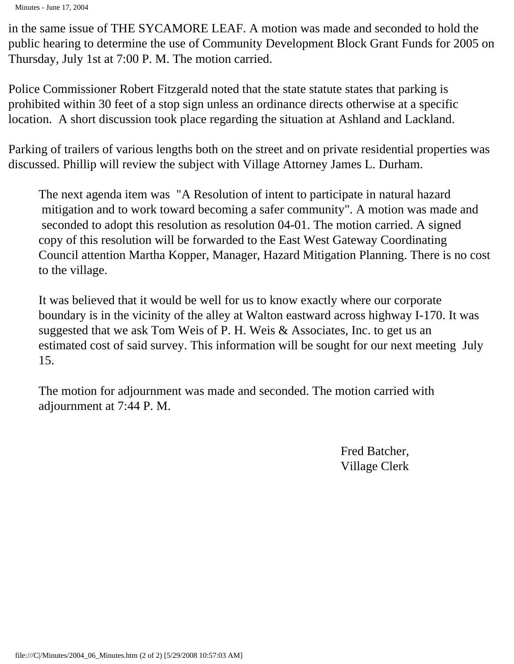in the same issue of THE SYCAMORE LEAF. A motion was made and seconded to hold the public hearing to determine the use of Community Development Block Grant Funds for 2005 on Thursday, July 1st at 7:00 P. M. The motion carried.

Police Commissioner Robert Fitzgerald noted that the state statute states that parking is prohibited within 30 feet of a stop sign unless an ordinance directs otherwise at a specific location. A short discussion took place regarding the situation at Ashland and Lackland.

Parking of trailers of various lengths both on the street and on private residential properties was discussed. Phillip will review the subject with Village Attorney James L. Durham.

The next agenda item was "A Resolution of intent to participate in natural hazard mitigation and to work toward becoming a safer community". A motion was made and seconded to adopt this resolution as resolution 04-01. The motion carried. A signed copy of this resolution will be forwarded to the East West Gateway Coordinating Council attention Martha Kopper, Manager, Hazard Mitigation Planning. There is no cost to the village.

It was believed that it would be well for us to know exactly where our corporate boundary is in the vicinity of the alley at Walton eastward across highway I-170. It was suggested that we ask Tom Weis of P. H. Weis & Associates, Inc. to get us an estimated cost of said survey. This information will be sought for our next meeting July 15.

The motion for adjournment was made and seconded. The motion carried with adjournment at 7:44 P. M.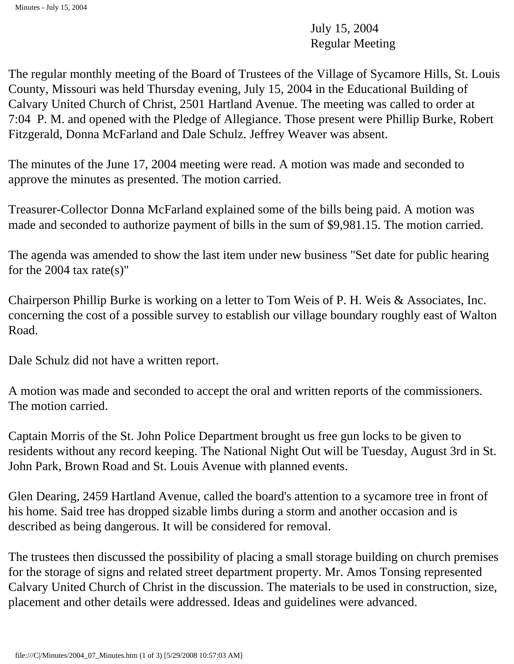July 15, 2004 Regular Meeting

The regular monthly meeting of the Board of Trustees of the Village of Sycamore Hills, St. Louis County, Missouri was held Thursday evening, July 15, 2004 in the Educational Building of Calvary United Church of Christ, 2501 Hartland Avenue. The meeting was called to order at 7:04 P. M. and opened with the Pledge of Allegiance. Those present were Phillip Burke, Robert Fitzgerald, Donna McFarland and Dale Schulz. Jeffrey Weaver was absent.

The minutes of the June 17, 2004 meeting were read. A motion was made and seconded to approve the minutes as presented. The motion carried.

Treasurer-Collector Donna McFarland explained some of the bills being paid. A motion was made and seconded to authorize payment of bills in the sum of \$9,981.15. The motion carried.

The agenda was amended to show the last item under new business "Set date for public hearing for the 2004 tax rate(s)"

Chairperson Phillip Burke is working on a letter to Tom Weis of P. H. Weis & Associates, Inc. concerning the cost of a possible survey to establish our village boundary roughly east of Walton Road.

Dale Schulz did not have a written report.

A motion was made and seconded to accept the oral and written reports of the commissioners. The motion carried.

Captain Morris of the St. John Police Department brought us free gun locks to be given to residents without any record keeping. The National Night Out will be Tuesday, August 3rd in St. John Park, Brown Road and St. Louis Avenue with planned events.

Glen Dearing, 2459 Hartland Avenue, called the board's attention to a sycamore tree in front of his home. Said tree has dropped sizable limbs during a storm and another occasion and is described as being dangerous. It will be considered for removal.

The trustees then discussed the possibility of placing a small storage building on church premises for the storage of signs and related street department property. Mr. Amos Tonsing represented Calvary United Church of Christ in the discussion. The materials to be used in construction, size, placement and other details were addressed. Ideas and guidelines were advanced.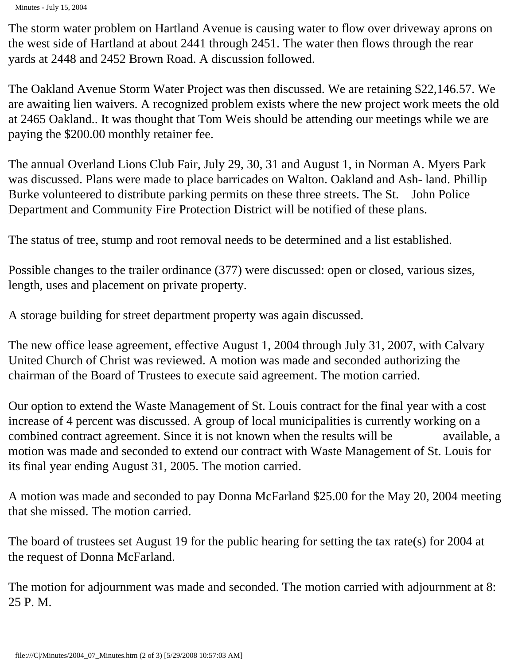Minutes - July 15, 2004

The storm water problem on Hartland Avenue is causing water to flow over driveway aprons on the west side of Hartland at about 2441 through 2451. The water then flows through the rear yards at 2448 and 2452 Brown Road. A discussion followed.

The Oakland Avenue Storm Water Project was then discussed. We are retaining \$22,146.57. We are awaiting lien waivers. A recognized problem exists where the new project work meets the old at 2465 Oakland.. It was thought that Tom Weis should be attending our meetings while we are paying the \$200.00 monthly retainer fee.

The annual Overland Lions Club Fair, July 29, 30, 31 and August 1, in Norman A. Myers Park was discussed. Plans were made to place barricades on Walton. Oakland and Ash- land. Phillip Burke volunteered to distribute parking permits on these three streets. The St. John Police Department and Community Fire Protection District will be notified of these plans.

The status of tree, stump and root removal needs to be determined and a list established.

Possible changes to the trailer ordinance (377) were discussed: open or closed, various sizes, length, uses and placement on private property.

A storage building for street department property was again discussed.

The new office lease agreement, effective August 1, 2004 through July 31, 2007, with Calvary United Church of Christ was reviewed. A motion was made and seconded authorizing the chairman of the Board of Trustees to execute said agreement. The motion carried.

Our option to extend the Waste Management of St. Louis contract for the final year with a cost increase of 4 percent was discussed. A group of local municipalities is currently working on a combined contract agreement. Since it is not known when the results will be available, a motion was made and seconded to extend our contract with Waste Management of St. Louis for its final year ending August 31, 2005. The motion carried.

A motion was made and seconded to pay Donna McFarland \$25.00 for the May 20, 2004 meeting that she missed. The motion carried.

The board of trustees set August 19 for the public hearing for setting the tax rate(s) for 2004 at the request of Donna McFarland.

The motion for adjournment was made and seconded. The motion carried with adjournment at 8: 25 P. M.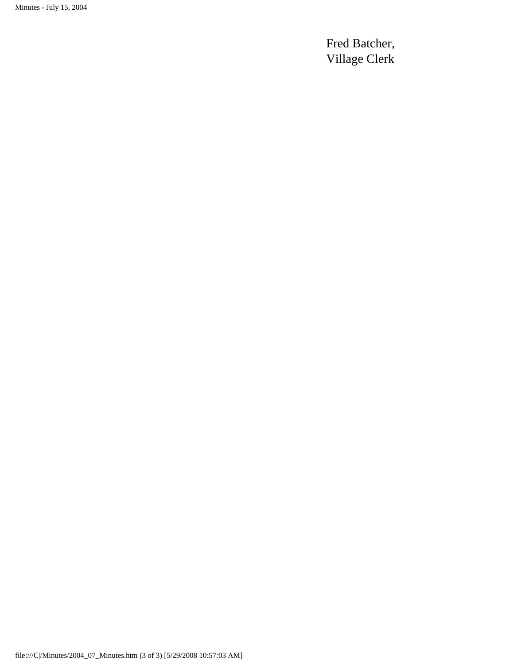Minutes - July 15, 2004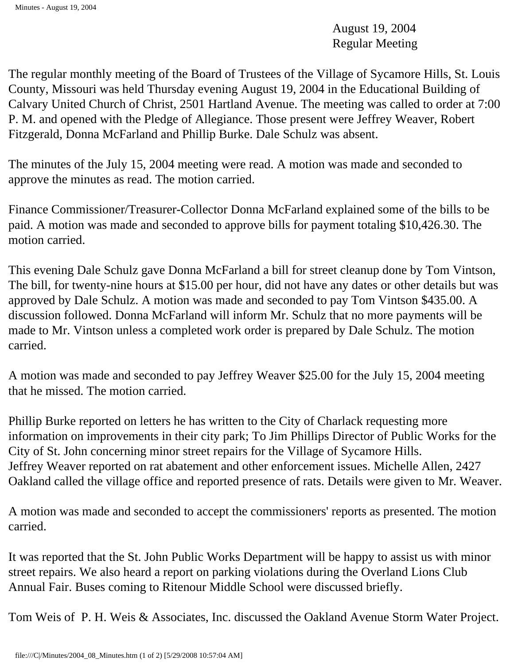August 19, 2004 Regular Meeting

The regular monthly meeting of the Board of Trustees of the Village of Sycamore Hills, St. Louis County, Missouri was held Thursday evening August 19, 2004 in the Educational Building of Calvary United Church of Christ, 2501 Hartland Avenue. The meeting was called to order at 7:00 P. M. and opened with the Pledge of Allegiance. Those present were Jeffrey Weaver, Robert Fitzgerald, Donna McFarland and Phillip Burke. Dale Schulz was absent.

The minutes of the July 15, 2004 meeting were read. A motion was made and seconded to approve the minutes as read. The motion carried.

Finance Commissioner/Treasurer-Collector Donna McFarland explained some of the bills to be paid. A motion was made and seconded to approve bills for payment totaling \$10,426.30. The motion carried.

This evening Dale Schulz gave Donna McFarland a bill for street cleanup done by Tom Vintson, The bill, for twenty-nine hours at \$15.00 per hour, did not have any dates or other details but was approved by Dale Schulz. A motion was made and seconded to pay Tom Vintson \$435.00. A discussion followed. Donna McFarland will inform Mr. Schulz that no more payments will be made to Mr. Vintson unless a completed work order is prepared by Dale Schulz. The motion carried.

A motion was made and seconded to pay Jeffrey Weaver \$25.00 for the July 15, 2004 meeting that he missed. The motion carried.

Phillip Burke reported on letters he has written to the City of Charlack requesting more information on improvements in their city park; To Jim Phillips Director of Public Works for the City of St. John concerning minor street repairs for the Village of Sycamore Hills. Jeffrey Weaver reported on rat abatement and other enforcement issues. Michelle Allen, 2427 Oakland called the village office and reported presence of rats. Details were given to Mr. Weaver.

A motion was made and seconded to accept the commissioners' reports as presented. The motion carried.

It was reported that the St. John Public Works Department will be happy to assist us with minor street repairs. We also heard a report on parking violations during the Overland Lions Club Annual Fair. Buses coming to Ritenour Middle School were discussed briefly.

Tom Weis of P. H. Weis & Associates, Inc. discussed the Oakland Avenue Storm Water Project.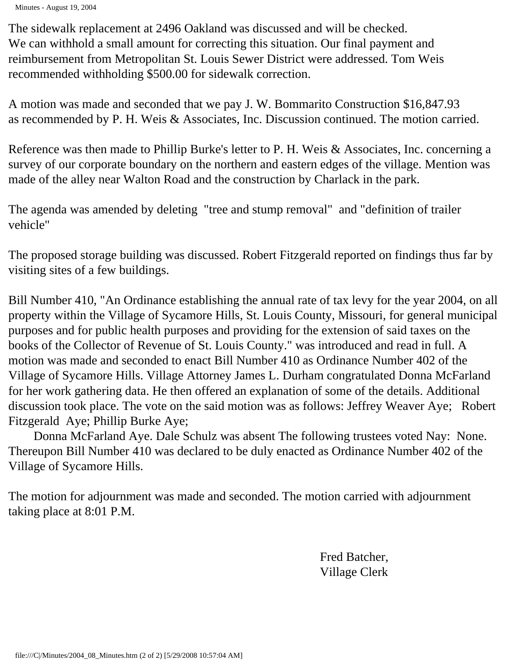Minutes - August 19, 2004

The sidewalk replacement at 2496 Oakland was discussed and will be checked. We can withhold a small amount for correcting this situation. Our final payment and reimbursement from Metropolitan St. Louis Sewer District were addressed. Tom Weis recommended withholding \$500.00 for sidewalk correction.

A motion was made and seconded that we pay J. W. Bommarito Construction \$16,847.93 as recommended by P. H. Weis & Associates, Inc. Discussion continued. The motion carried.

Reference was then made to Phillip Burke's letter to P. H. Weis & Associates, Inc. concerning a survey of our corporate boundary on the northern and eastern edges of the village. Mention was made of the alley near Walton Road and the construction by Charlack in the park.

The agenda was amended by deleting "tree and stump removal" and "definition of trailer vehicle"

The proposed storage building was discussed. Robert Fitzgerald reported on findings thus far by visiting sites of a few buildings.

Bill Number 410, "An Ordinance establishing the annual rate of tax levy for the year 2004, on all property within the Village of Sycamore Hills, St. Louis County, Missouri, for general municipal purposes and for public health purposes and providing for the extension of said taxes on the books of the Collector of Revenue of St. Louis County." was introduced and read in full. A motion was made and seconded to enact Bill Number 410 as Ordinance Number 402 of the Village of Sycamore Hills. Village Attorney James L. Durham congratulated Donna McFarland for her work gathering data. He then offered an explanation of some of the details. Additional discussion took place. The vote on the said motion was as follows: Jeffrey Weaver Aye; Robert Fitzgerald Aye; Phillip Burke Aye;

 Donna McFarland Aye. Dale Schulz was absent The following trustees voted Nay: None. Thereupon Bill Number 410 was declared to be duly enacted as Ordinance Number 402 of the Village of Sycamore Hills.

The motion for adjournment was made and seconded. The motion carried with adjournment taking place at 8:01 P.M.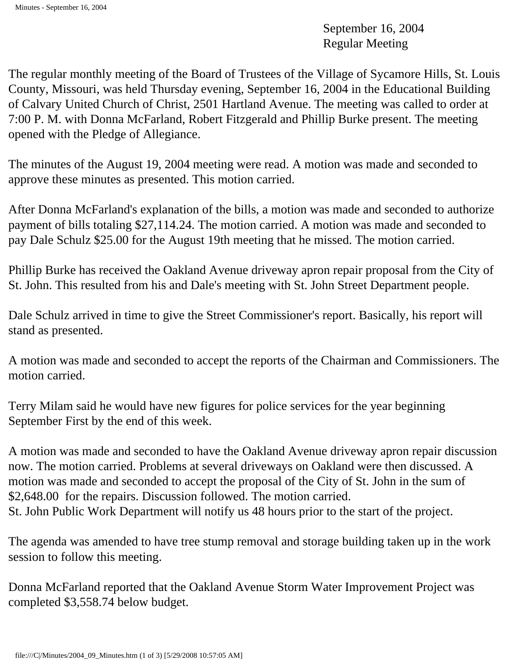September 16, 2004 Regular Meeting

The regular monthly meeting of the Board of Trustees of the Village of Sycamore Hills, St. Louis County, Missouri, was held Thursday evening, September 16, 2004 in the Educational Building of Calvary United Church of Christ, 2501 Hartland Avenue. The meeting was called to order at 7:00 P. M. with Donna McFarland, Robert Fitzgerald and Phillip Burke present. The meeting opened with the Pledge of Allegiance.

The minutes of the August 19, 2004 meeting were read. A motion was made and seconded to approve these minutes as presented. This motion carried.

After Donna McFarland's explanation of the bills, a motion was made and seconded to authorize payment of bills totaling \$27,114.24. The motion carried. A motion was made and seconded to pay Dale Schulz \$25.00 for the August 19th meeting that he missed. The motion carried.

Phillip Burke has received the Oakland Avenue driveway apron repair proposal from the City of St. John. This resulted from his and Dale's meeting with St. John Street Department people.

Dale Schulz arrived in time to give the Street Commissioner's report. Basically, his report will stand as presented.

A motion was made and seconded to accept the reports of the Chairman and Commissioners. The motion carried.

Terry Milam said he would have new figures for police services for the year beginning September First by the end of this week.

A motion was made and seconded to have the Oakland Avenue driveway apron repair discussion now. The motion carried. Problems at several driveways on Oakland were then discussed. A motion was made and seconded to accept the proposal of the City of St. John in the sum of \$2,648.00 for the repairs. Discussion followed. The motion carried. St. John Public Work Department will notify us 48 hours prior to the start of the project.

The agenda was amended to have tree stump removal and storage building taken up in the work session to follow this meeting.

Donna McFarland reported that the Oakland Avenue Storm Water Improvement Project was completed \$3,558.74 below budget.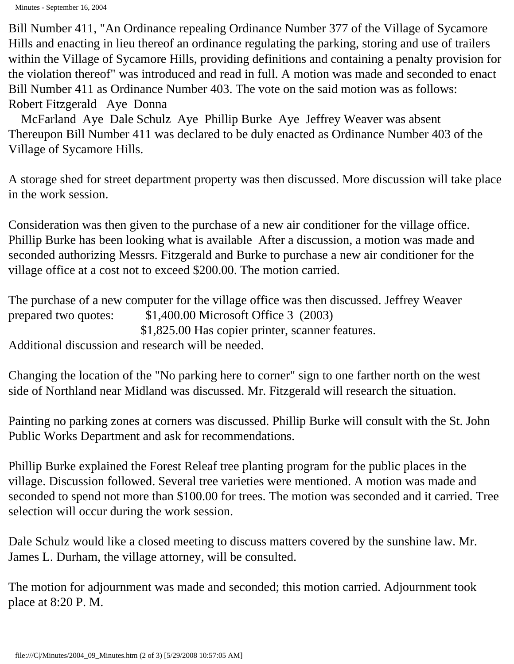Bill Number 411, "An Ordinance repealing Ordinance Number 377 of the Village of Sycamore Hills and enacting in lieu thereof an ordinance regulating the parking, storing and use of trailers within the Village of Sycamore Hills, providing definitions and containing a penalty provision for the violation thereof" was introduced and read in full. A motion was made and seconded to enact Bill Number 411 as Ordinance Number 403. The vote on the said motion was as follows: Robert Fitzgerald Aye Donna

 McFarland Aye Dale Schulz Aye Phillip Burke Aye Jeffrey Weaver was absent Thereupon Bill Number 411 was declared to be duly enacted as Ordinance Number 403 of the Village of Sycamore Hills.

A storage shed for street department property was then discussed. More discussion will take place in the work session.

Consideration was then given to the purchase of a new air conditioner for the village office. Phillip Burke has been looking what is available After a discussion, a motion was made and seconded authorizing Messrs. Fitzgerald and Burke to purchase a new air conditioner for the village office at a cost not to exceed \$200.00. The motion carried.

The purchase of a new computer for the village office was then discussed. Jeffrey Weaver prepared two quotes: \$1,400.00 Microsoft Office 3 (2003) \$1,825.00 Has copier printer, scanner features.

Additional discussion and research will be needed.

Changing the location of the "No parking here to corner" sign to one farther north on the west side of Northland near Midland was discussed. Mr. Fitzgerald will research the situation.

Painting no parking zones at corners was discussed. Phillip Burke will consult with the St. John Public Works Department and ask for recommendations.

Phillip Burke explained the Forest Releaf tree planting program for the public places in the village. Discussion followed. Several tree varieties were mentioned. A motion was made and seconded to spend not more than \$100.00 for trees. The motion was seconded and it carried. Tree selection will occur during the work session.

Dale Schulz would like a closed meeting to discuss matters covered by the sunshine law. Mr. James L. Durham, the village attorney, will be consulted.

The motion for adjournment was made and seconded; this motion carried. Adjournment took place at 8:20 P. M.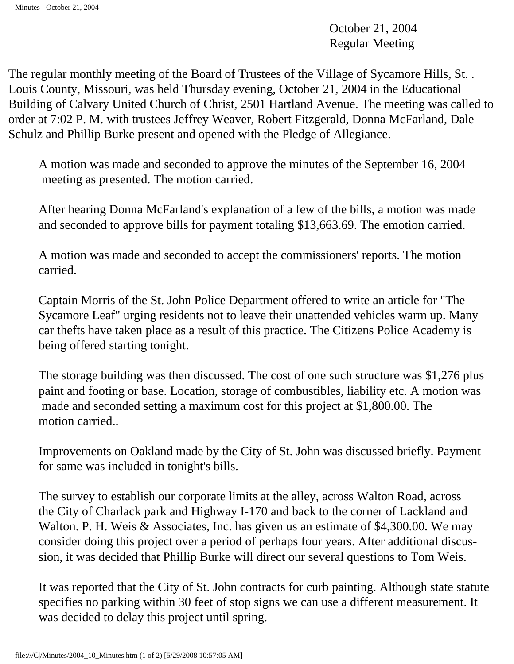October 21, 2004 Regular Meeting

The regular monthly meeting of the Board of Trustees of the Village of Sycamore Hills, St. . Louis County, Missouri, was held Thursday evening, October 21, 2004 in the Educational Building of Calvary United Church of Christ, 2501 Hartland Avenue. The meeting was called to order at 7:02 P. M. with trustees Jeffrey Weaver, Robert Fitzgerald, Donna McFarland, Dale Schulz and Phillip Burke present and opened with the Pledge of Allegiance.

A motion was made and seconded to approve the minutes of the September 16, 2004 meeting as presented. The motion carried.

After hearing Donna McFarland's explanation of a few of the bills, a motion was made and seconded to approve bills for payment totaling \$13,663.69. The emotion carried.

A motion was made and seconded to accept the commissioners' reports. The motion carried.

Captain Morris of the St. John Police Department offered to write an article for "The Sycamore Leaf" urging residents not to leave their unattended vehicles warm up. Many car thefts have taken place as a result of this practice. The Citizens Police Academy is being offered starting tonight.

The storage building was then discussed. The cost of one such structure was \$1,276 plus paint and footing or base. Location, storage of combustibles, liability etc. A motion was made and seconded setting a maximum cost for this project at \$1,800.00. The motion carried..

Improvements on Oakland made by the City of St. John was discussed briefly. Payment for same was included in tonight's bills.

The survey to establish our corporate limits at the alley, across Walton Road, across the City of Charlack park and Highway I-170 and back to the corner of Lackland and Walton. P. H. Weis & Associates, Inc. has given us an estimate of \$4,300.00. We may consider doing this project over a period of perhaps four years. After additional discussion, it was decided that Phillip Burke will direct our several questions to Tom Weis.

It was reported that the City of St. John contracts for curb painting. Although state statute specifies no parking within 30 feet of stop signs we can use a different measurement. It was decided to delay this project until spring.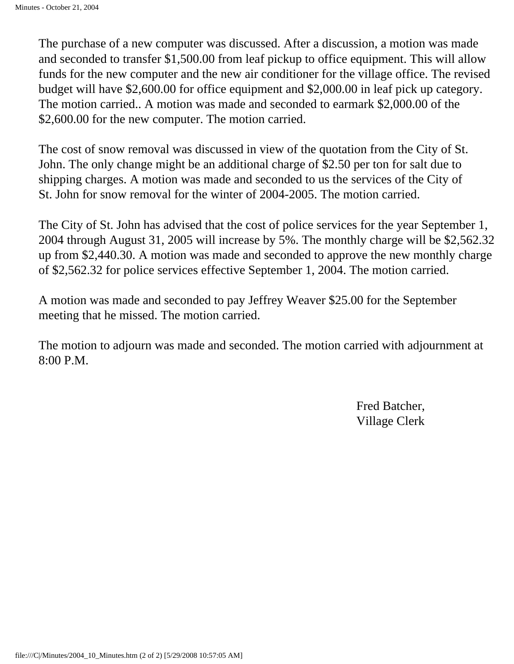The purchase of a new computer was discussed. After a discussion, a motion was made and seconded to transfer \$1,500.00 from leaf pickup to office equipment. This will allow funds for the new computer and the new air conditioner for the village office. The revised budget will have \$2,600.00 for office equipment and \$2,000.00 in leaf pick up category. The motion carried.. A motion was made and seconded to earmark \$2,000.00 of the \$2,600.00 for the new computer. The motion carried.

The cost of snow removal was discussed in view of the quotation from the City of St. John. The only change might be an additional charge of \$2.50 per ton for salt due to shipping charges. A motion was made and seconded to us the services of the City of St. John for snow removal for the winter of 2004-2005. The motion carried.

The City of St. John has advised that the cost of police services for the year September 1, 2004 through August 31, 2005 will increase by 5%. The monthly charge will be \$2,562.32 up from \$2,440.30. A motion was made and seconded to approve the new monthly charge of \$2,562.32 for police services effective September 1, 2004. The motion carried.

A motion was made and seconded to pay Jeffrey Weaver \$25.00 for the September meeting that he missed. The motion carried.

The motion to adjourn was made and seconded. The motion carried with adjournment at 8:00 P.M.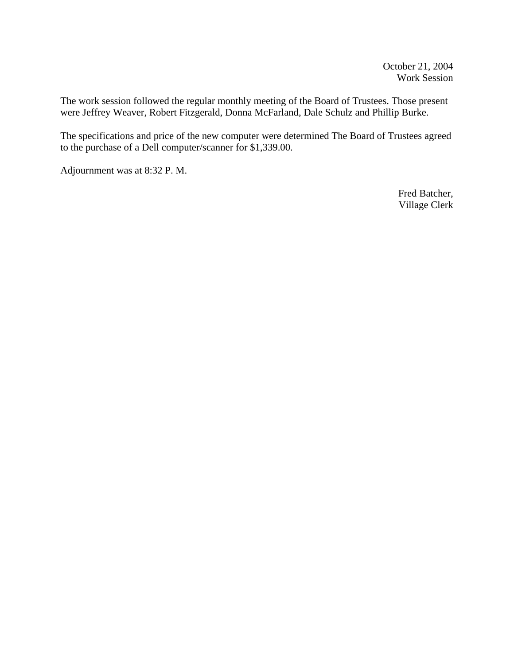The work session followed the regular monthly meeting of the Board of Trustees. Those present were Jeffrey Weaver, Robert Fitzgerald, Donna McFarland, Dale Schulz and Phillip Burke.

The specifications and price of the new computer were determined The Board of Trustees agreed to the purchase of a Dell computer/scanner for \$1,339.00.

Adjournment was at 8:32 P. M.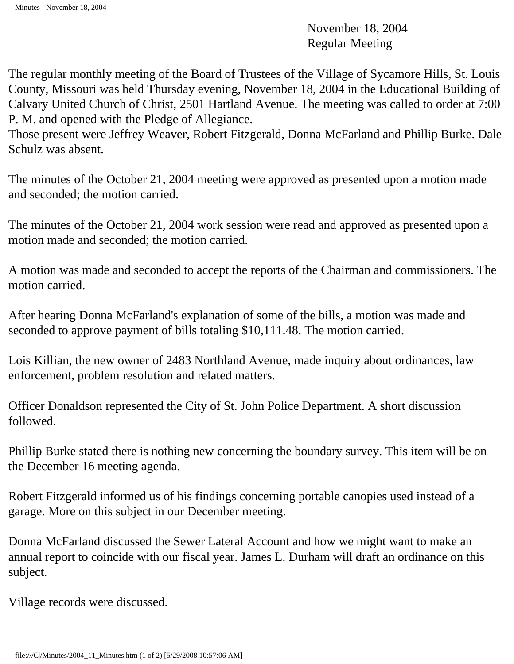November 18, 2004 Regular Meeting

The regular monthly meeting of the Board of Trustees of the Village of Sycamore Hills, St. Louis County, Missouri was held Thursday evening, November 18, 2004 in the Educational Building of Calvary United Church of Christ, 2501 Hartland Avenue. The meeting was called to order at 7:00 P. M. and opened with the Pledge of Allegiance.

Those present were Jeffrey Weaver, Robert Fitzgerald, Donna McFarland and Phillip Burke. Dale Schulz was absent.

The minutes of the October 21, 2004 meeting were approved as presented upon a motion made and seconded; the motion carried.

The minutes of the October 21, 2004 work session were read and approved as presented upon a motion made and seconded; the motion carried.

A motion was made and seconded to accept the reports of the Chairman and commissioners. The motion carried.

After hearing Donna McFarland's explanation of some of the bills, a motion was made and seconded to approve payment of bills totaling \$10,111.48. The motion carried.

Lois Killian, the new owner of 2483 Northland Avenue, made inquiry about ordinances, law enforcement, problem resolution and related matters.

Officer Donaldson represented the City of St. John Police Department. A short discussion followed.

Phillip Burke stated there is nothing new concerning the boundary survey. This item will be on the December 16 meeting agenda.

Robert Fitzgerald informed us of his findings concerning portable canopies used instead of a garage. More on this subject in our December meeting.

Donna McFarland discussed the Sewer Lateral Account and how we might want to make an annual report to coincide with our fiscal year. James L. Durham will draft an ordinance on this subject.

Village records were discussed.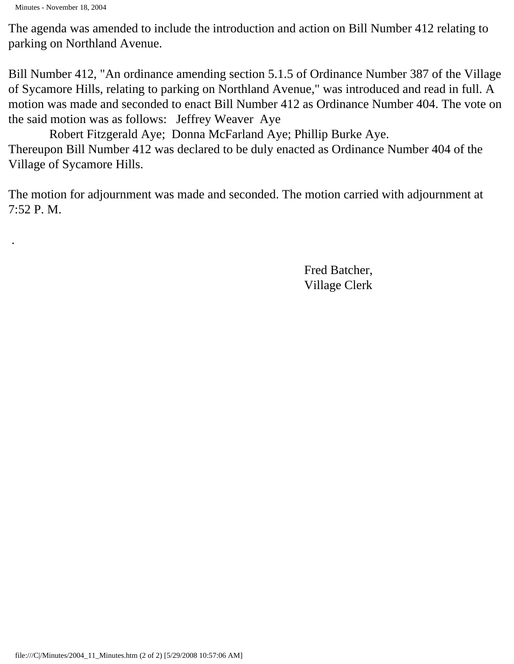Minutes - November 18, 2004

.

The agenda was amended to include the introduction and action on Bill Number 412 relating to parking on Northland Avenue.

Bill Number 412, "An ordinance amending section 5.1.5 of Ordinance Number 387 of the Village of Sycamore Hills, relating to parking on Northland Avenue," was introduced and read in full. A motion was made and seconded to enact Bill Number 412 as Ordinance Number 404. The vote on the said motion was as follows: Jeffrey Weaver Aye

 Robert Fitzgerald Aye; Donna McFarland Aye; Phillip Burke Aye. Thereupon Bill Number 412 was declared to be duly enacted as Ordinance Number 404 of the Village of Sycamore Hills.

The motion for adjournment was made and seconded. The motion carried with adjournment at 7:52 P. M.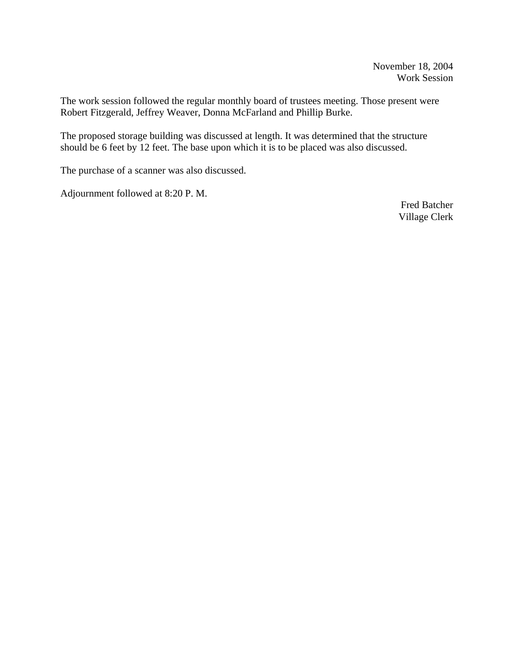The work session followed the regular monthly board of trustees meeting. Those present were Robert Fitzgerald, Jeffrey Weaver, Donna McFarland and Phillip Burke.

The proposed storage building was discussed at length. It was determined that the structure should be 6 feet by 12 feet. The base upon which it is to be placed was also discussed.

The purchase of a scanner was also discussed.

Adjournment followed at 8:20 P. M.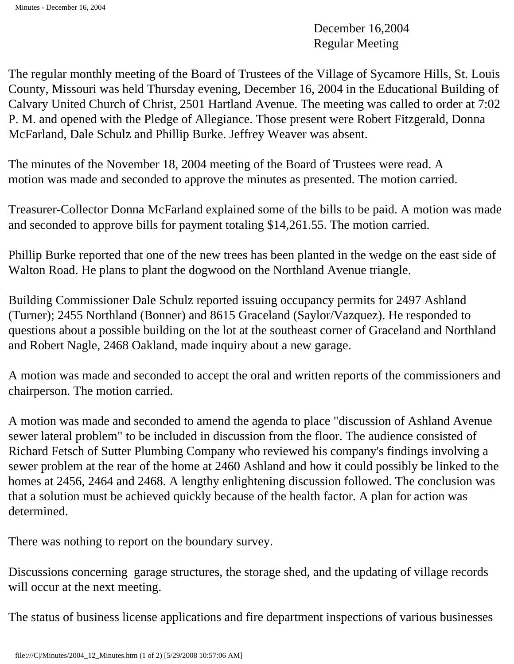December 16,2004 Regular Meeting

The regular monthly meeting of the Board of Trustees of the Village of Sycamore Hills, St. Louis County, Missouri was held Thursday evening, December 16, 2004 in the Educational Building of Calvary United Church of Christ, 2501 Hartland Avenue. The meeting was called to order at 7:02 P. M. and opened with the Pledge of Allegiance. Those present were Robert Fitzgerald, Donna McFarland, Dale Schulz and Phillip Burke. Jeffrey Weaver was absent.

The minutes of the November 18, 2004 meeting of the Board of Trustees were read. A motion was made and seconded to approve the minutes as presented. The motion carried.

Treasurer-Collector Donna McFarland explained some of the bills to be paid. A motion was made and seconded to approve bills for payment totaling \$14,261.55. The motion carried.

Phillip Burke reported that one of the new trees has been planted in the wedge on the east side of Walton Road. He plans to plant the dogwood on the Northland Avenue triangle.

Building Commissioner Dale Schulz reported issuing occupancy permits for 2497 Ashland (Turner); 2455 Northland (Bonner) and 8615 Graceland (Saylor/Vazquez). He responded to questions about a possible building on the lot at the southeast corner of Graceland and Northland and Robert Nagle, 2468 Oakland, made inquiry about a new garage.

A motion was made and seconded to accept the oral and written reports of the commissioners and chairperson. The motion carried.

A motion was made and seconded to amend the agenda to place "discussion of Ashland Avenue sewer lateral problem" to be included in discussion from the floor. The audience consisted of Richard Fetsch of Sutter Plumbing Company who reviewed his company's findings involving a sewer problem at the rear of the home at 2460 Ashland and how it could possibly be linked to the homes at 2456, 2464 and 2468. A lengthy enlightening discussion followed. The conclusion was that a solution must be achieved quickly because of the health factor. A plan for action was determined.

There was nothing to report on the boundary survey.

Discussions concerning garage structures, the storage shed, and the updating of village records will occur at the next meeting.

The status of business license applications and fire department inspections of various businesses